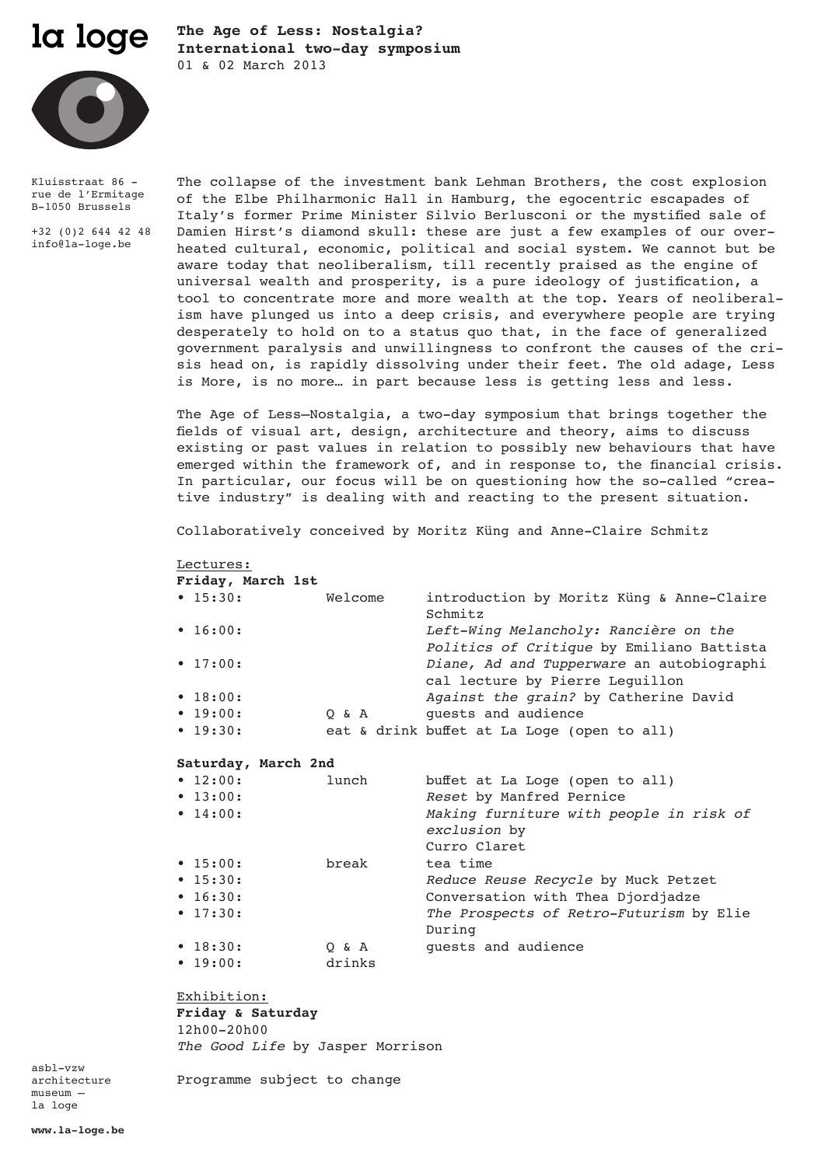

**The Age of Less: Nostalgia? International two-day symposium**  01 & 02 March 2013



Kluisstraat 86 rue de l'Ermitage B-1050 Brussels

+32 (0)2 644 42 48 info@la-loge.be

The collapse of the investment bank Lehman Brothers, the cost explosion of the Elbe Philharmonic Hall in Hamburg, the egocentric escapades of Italy's former Prime Minister Silvio Berlusconi or the mystified sale of Damien Hirst's diamond skull: these are just a few examples of our overheated cultural, economic, political and social system. We cannot but be aware today that neoliberalism, till recently praised as the engine of universal wealth and prosperity, is a pure ideology of justification, a tool to concentrate more and more wealth at the top. Years of neoliberalism have plunged us into a deep crisis, and everywhere people are trying desperately to hold on to a status quo that, in the face of generalized government paralysis and unwillingness to confront the causes of the crisis head on, is rapidly dissolving under their feet. The old adage, Less is More, is no more… in part because less is getting less and less.

The Age of Less—Nostalgia, a two-day symposium that brings together the fields of visual art, design, architecture and theory, aims to discuss existing or past values in relation to possibly new behaviours that have emerged within the framework of, and in response to, the financial crisis. In particular, our focus will be on questioning how the so-called "creative industry" is dealing with and reacting to the present situation.

Collaboratively conceived by Moritz Küng and Anne-Claire Schmitz

Lectures: **Friday, March 1st**

|  |  | rriday, March Ist |  |
|--|--|-------------------|--|
|  |  |                   |  |

| $\bullet$ 15:30: | Welcome | introduction by Moritz Küng & Anne-Claire   |
|------------------|---------|---------------------------------------------|
|                  |         | Schmitz                                     |
| $\bullet$ 16:00: |         | Left-Wing Melancholy: Rancière on the       |
|                  |         | Politics of Critique by Emiliano Battista   |
| $\bullet$ 17:00: |         | Diane, Ad and Tupperware an autobiographi   |
|                  |         | cal lecture by Pierre Lequillon             |
| $\bullet$ 18:00: |         | Against the grain? by Catherine David       |
| $\bullet$ 19:00: | 0 & A   | quests and audience                         |
| $\bullet$ 19:30: |         | eat & drink buffet at La Loge (open to all) |

## **Saturday, March 2nd**

| $\bullet$ 12:00: | lunch  | buffet at La Loge (open to all)                                         |
|------------------|--------|-------------------------------------------------------------------------|
| $\bullet$ 13:00: |        | Reset by Manfred Pernice                                                |
| $\bullet$ 14:00: |        | Making furniture with people in risk of<br>exclusion by<br>Curro Claret |
| $\bullet$ 15:00: | break  | tea time                                                                |
| $\bullet$ 15:30: |        | Reduce Reuse Recycle by Muck Petzet                                     |
| $\bullet$ 16:30: |        | Conversation with Thea Djordjadze                                       |
| $\bullet$ 17:30: |        | The Prospects of Retro-Futurism by Elie<br>During                       |
| $\bullet$ 18:30: | 0 & A  | quests and audience                                                     |
| $\bullet$ 19:00: | drinks |                                                                         |

Exhibition: **Friday & Saturday**

12h00-20h00 *The Good Life* by Jasper Morrison

Programme subject to change

asbl-vzw architecture museum – la loge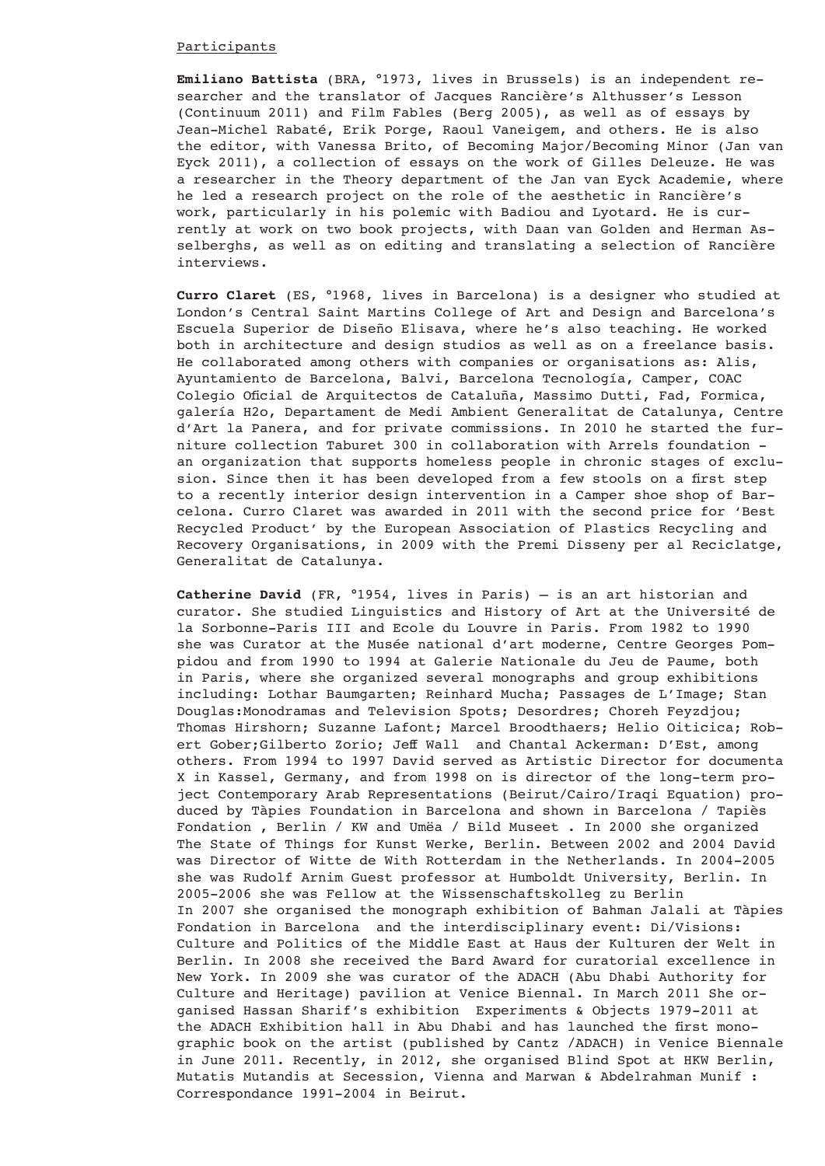# Participants

**Emiliano Battista** (BRA, °1973, lives in Brussels) is an independent researcher and the translator of Jacques Rancière's Althusser's Lesson (Continuum 2011) and Film Fables (Berg 2005), as well as of essays by Jean-Michel Rabaté, Erik Porge, Raoul Vaneigem, and others. He is also the editor, with Vanessa Brito, of Becoming Major/Becoming Minor (Jan van Eyck 2011), a collection of essays on the work of Gilles Deleuze. He was a researcher in the Theory department of the Jan van Eyck Academie, where he led a research project on the role of the aesthetic in Rancière's work, particularly in his polemic with Badiou and Lyotard. He is currently at work on two book projects, with Daan van Golden and Herman Asselberghs, as well as on editing and translating a selection of Rancière interviews.

**Curro Claret** (ES, °1968, lives in Barcelona) is a designer who studied at London's Central Saint Martins College of Art and Design and Barcelona's Escuela Superior de Diseño Elisava, where he's also teaching. He worked both in architecture and design studios as well as on a freelance basis. He collaborated among others with companies or organisations as: Alis, Ayuntamiento de Barcelona, Balvi, Barcelona Tecnología, Camper, COAC Colegio Oficial de Arquitectos de Cataluña, Massimo Dutti, Fad, Formica, galería H2o, Departament de Medi Ambient Generalitat de Catalunya, Centre d'Art la Panera, and for private commissions. In 2010 he started the furniture collection Taburet 300 in collaboration with Arrels foundation an organization that supports homeless people in chronic stages of exclusion. Since then it has been developed from a few stools on a first step to a recently interior design intervention in a Camper shoe shop of Barcelona. Curro Claret was awarded in 2011 with the second price for 'Best Recycled Product' by the European Association of Plastics Recycling and Recovery Organisations, in 2009 with the Premi Disseny per al Reciclatge, Generalitat de Catalunya.

**Catherine David** (FR, °1954, lives in Paris) – is an art historian and curator. She studied Linguistics and History of Art at the Université de la Sorbonne-Paris III and Ecole du Louvre in Paris. From 1982 to 1990 she was Curator at the Musée national d'art moderne, Centre Georges Pompidou and from 1990 to 1994 at Galerie Nationale du Jeu de Paume, both in Paris, where she organized several monographs and group exhibitions including: Lothar Baumgarten; Reinhard Mucha; Passages de L'Image; Stan Douglas:Monodramas and Television Spots; Desordres; Choreh Feyzdjou; Thomas Hirshorn; Suzanne Lafont; Marcel Broodthaers; Helio Oiticica; Robert Gober;Gilberto Zorio; Jeff Wall and Chantal Ackerman: D'Est, among others. From 1994 to 1997 David served as Artistic Director for documenta X in Kassel, Germany, and from 1998 on is director of the long-term project Contemporary Arab Representations (Beirut/Cairo/Iraqi Equation) produced by Tàpies Foundation in Barcelona and shown in Barcelona / Tapiès Fondation , Berlin / KW and Umëa / Bild Museet . In 2000 she organized The State of Things for Kunst Werke, Berlin. Between 2002 and 2004 David was Director of Witte de With Rotterdam in the Netherlands. In 2004-2005 she was Rudolf Arnim Guest professor at Humboldt University, Berlin. In 2005-2006 she was Fellow at the Wissenschaftskolleg zu Berlin In 2007 she organised the monograph exhibition of Bahman Jalali at Tàpies Fondation in Barcelona and the interdisciplinary event: Di/Visions: Culture and Politics of the Middle East at Haus der Kulturen der Welt in Berlin. In 2008 she received the Bard Award for curatorial excellence in New York. In 2009 she was curator of the ADACH (Abu Dhabi Authority for Culture and Heritage) pavilion at Venice Biennal. In March 2011 She organised Hassan Sharif's exhibition Experiments & Objects 1979-2011 at the ADACH Exhibition hall in Abu Dhabi and has launched the first monographic book on the artist (published by Cantz /ADACH) in Venice Biennale in June 2011. Recently, in 2012, she organised Blind Spot at HKW Berlin, Mutatis Mutandis at Secession, Vienna and Marwan & Abdelrahman Munif : Correspondance 1991-2004 in Beirut.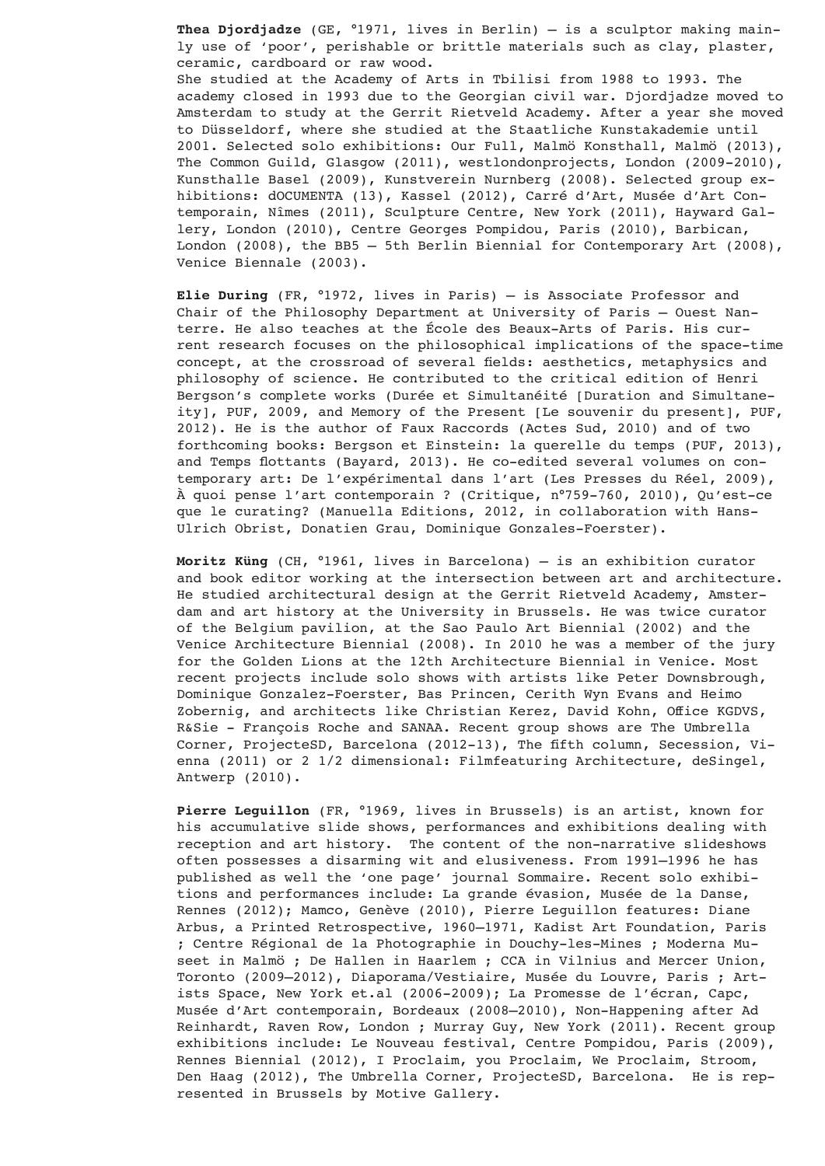**Thea Djordjadze** (GE, °1971, lives in Berlin) – is a sculptor making mainly use of 'poor', perishable or brittle materials such as clay, plaster, ceramic, cardboard or raw wood. She studied at the Academy of Arts in Tbilisi from 1988 to 1993. The academy closed in 1993 due to the Georgian civil war. Djordjadze moved to Amsterdam to study at the Gerrit Rietveld Academy. After a year she moved to Düsseldorf, where she studied at the Staatliche Kunstakademie until 2001. Selected solo exhibitions: Our Full, Malmö Konsthall, Malmö (2013), The Common Guild, Glasgow (2011), westlondonprojects, London (2009-2010), Kunsthalle Basel (2009), Kunstverein Nurnberg (2008). Selected group exhibitions: dOCUMENTA (13), Kassel (2012), Carré d'Art, Musée d'Art Contemporain, Nîmes (2011), Sculpture Centre, New York (2011), Hayward Gallery, London (2010), Centre Georges Pompidou, Paris (2010), Barbican, London (2008), the BB5 - 5th Berlin Biennial for Contemporary Art (2008), Venice Biennale (2003).

**Elie During** (FR, °1972, lives in Paris) – is Associate Professor and Chair of the Philosophy Department at University of Paris – Ouest Nanterre. He also teaches at the École des Beaux-Arts of Paris. His current research focuses on the philosophical implications of the space-time concept, at the crossroad of several fields: aesthetics, metaphysics and philosophy of science. He contributed to the critical edition of Henri Bergson's complete works (Durée et Simultanéité [Duration and Simultaneity], PUF, 2009, and Memory of the Present [Le souvenir du present], PUF, 2012). He is the author of Faux Raccords (Actes Sud, 2010) and of two forthcoming books: Bergson et Einstein: la querelle du temps (PUF, 2013), and Temps flottants (Bayard, 2013). He co-edited several volumes on contemporary art: De l'expérimental dans l'art (Les Presses du Réel, 2009), À quoi pense l'art contemporain ? (Critique, n°759-760, 2010), Qu'est-ce que le curating? (Manuella Editions, 2012, in collaboration with Hans-Ulrich Obrist, Donatien Grau, Dominique Gonzales-Foerster).

**Moritz Küng** (CH, °1961, lives in Barcelona) – is an exhibition curator and book editor working at the intersection between art and architecture. He studied architectural design at the Gerrit Rietveld Academy, Amsterdam and art history at the University in Brussels. He was twice curator of the Belgium pavilion, at the Sao Paulo Art Biennial (2002) and the Venice Architecture Biennial (2008). In 2010 he was a member of the jury for the Golden Lions at the 12th Architecture Biennial in Venice. Most recent projects include solo shows with artists like Peter Downsbrough, Dominique Gonzalez-Foerster, Bas Princen, Cerith Wyn Evans and Heimo Zobernig, and architects like Christian Kerez, David Kohn, Office KGDVS, R&Sie - François Roche and SANAA. Recent group shows are The Umbrella Corner, ProjecteSD, Barcelona (2012-13), The fifth column, Secession, Vienna (2011) or 2 1/2 dimensional: Filmfeaturing Architecture, deSingel, Antwerp (2010).

**Pierre Leguillon** (FR, °1969, lives in Brussels) is an artist, known for his accumulative slide shows, performances and exhibitions dealing with reception and art history. The content of the non-narrative slideshows often possesses a disarming wit and elusiveness. From 1991–1996 he has published as well the 'one page' journal Sommaire. Recent solo exhibitions and performances include: La grande évasion, Musée de la Danse, Rennes (2012); Mamco, Genève (2010), Pierre Leguillon features: Diane Arbus, a Printed Retrospective, 1960–1971, Kadist Art Foundation, Paris ; Centre Régional de la Photographie in Douchy-les-Mines ; Moderna Museet in Malmö ; De Hallen in Haarlem ; CCA in Vilnius and Mercer Union, Toronto (2009–2012), Diaporama/Vestiaire, Musée du Louvre, Paris ; Artists Space, New York et.al (2006-2009); La Promesse de l'écran, Capc, Musée d'Art contemporain, Bordeaux (2008–2010), Non-Happening after Ad Reinhardt, Raven Row, London ; Murray Guy, New York (2011). Recent group exhibitions include: Le Nouveau festival, Centre Pompidou, Paris (2009), Rennes Biennial (2012), I Proclaim, you Proclaim, We Proclaim, Stroom, Den Haag (2012), The Umbrella Corner, ProjecteSD, Barcelona. He is represented in Brussels by Motive Gallery.